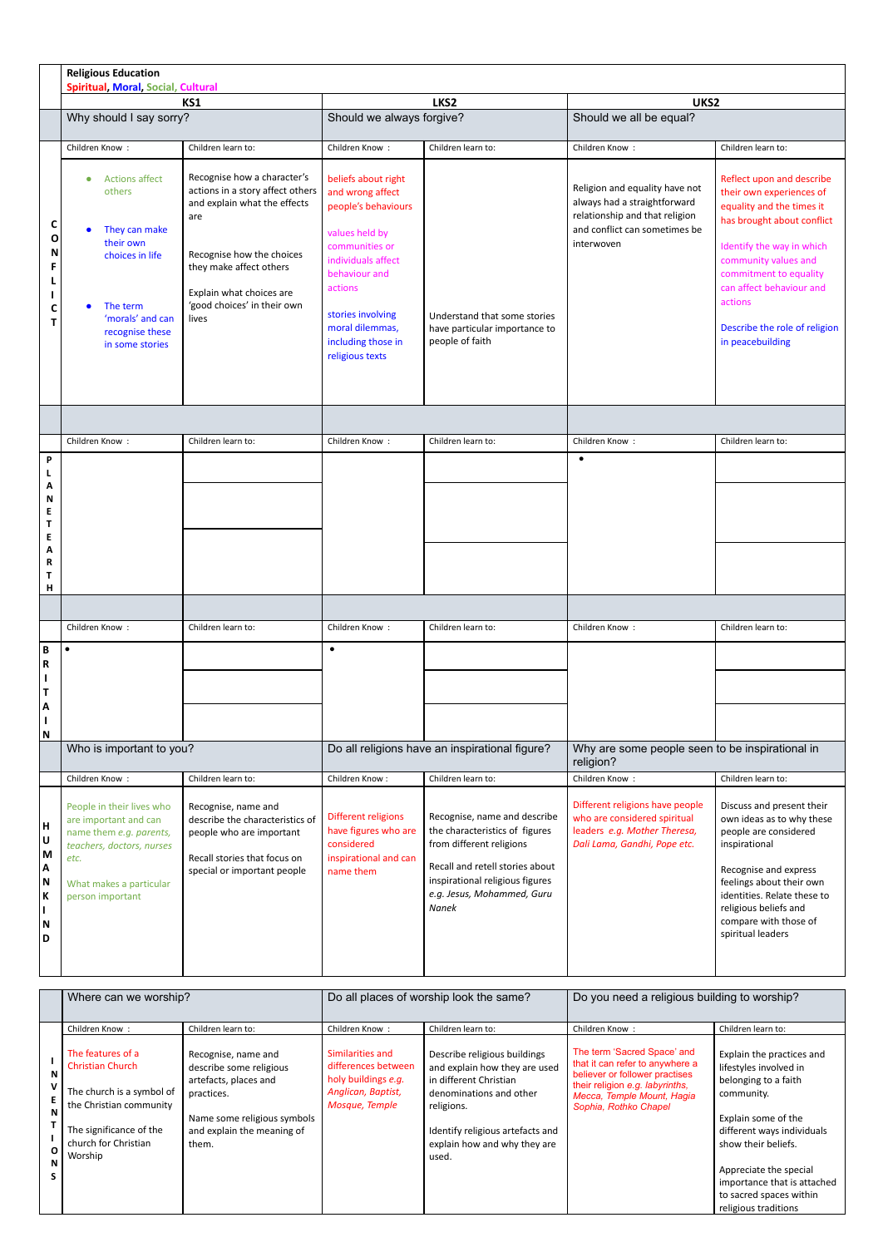|                                                 | <b>Religious Education</b><br><b>Spiritual, Moral, Social, Cultural</b>                                                                                           |                                                                                                                                                                                                                                    |                                                                                                                                                                                                                                       |                                                                                                                                                                                                                |                                                                                                                                                 |                                                                                                                                                                                                                                                                                             |  |  |
|-------------------------------------------------|-------------------------------------------------------------------------------------------------------------------------------------------------------------------|------------------------------------------------------------------------------------------------------------------------------------------------------------------------------------------------------------------------------------|---------------------------------------------------------------------------------------------------------------------------------------------------------------------------------------------------------------------------------------|----------------------------------------------------------------------------------------------------------------------------------------------------------------------------------------------------------------|-------------------------------------------------------------------------------------------------------------------------------------------------|---------------------------------------------------------------------------------------------------------------------------------------------------------------------------------------------------------------------------------------------------------------------------------------------|--|--|
|                                                 | KS1                                                                                                                                                               |                                                                                                                                                                                                                                    | LKS2                                                                                                                                                                                                                                  |                                                                                                                                                                                                                | UKS2                                                                                                                                            |                                                                                                                                                                                                                                                                                             |  |  |
|                                                 | Why should I say sorry?                                                                                                                                           |                                                                                                                                                                                                                                    | Should we always forgive?                                                                                                                                                                                                             |                                                                                                                                                                                                                | Should we all be equal?                                                                                                                         |                                                                                                                                                                                                                                                                                             |  |  |
|                                                 | Children Know:                                                                                                                                                    | Children learn to:                                                                                                                                                                                                                 | Children Know:                                                                                                                                                                                                                        | Children learn to:                                                                                                                                                                                             | Children Know:                                                                                                                                  | Children learn to:                                                                                                                                                                                                                                                                          |  |  |
| C<br>O<br>N<br>C<br>т                           | <b>Actions affect</b><br>٠<br>others<br>They can make<br>their own<br>choices in life<br>The term<br>'morals' and can<br>recognise these<br>in some stories       | Recognise how a character's<br>actions in a story affect others<br>and explain what the effects<br>are<br>Recognise how the choices<br>they make affect others<br>Explain what choices are<br>'good choices' in their own<br>lives | beliefs about right<br>and wrong affect<br>people's behaviours<br>values held by<br>communities or<br>individuals affect<br>behaviour and<br>actions<br>stories involving<br>moral dilemmas,<br>including those in<br>religious texts | Understand that some stories<br>have particular importance to<br>people of faith                                                                                                                               | Religion and equality have not<br>always had a straightforward<br>relationship and that religion<br>and conflict can sometimes be<br>interwoven | Reflect upon and describe<br>their own experiences of<br>equality and the times it<br>has brought about conflict<br>Identify the way in which<br>community values and<br>commitment to equality<br>can affect behaviour and<br>actions<br>Describe the role of religion<br>in peacebuilding |  |  |
|                                                 |                                                                                                                                                                   |                                                                                                                                                                                                                                    |                                                                                                                                                                                                                                       |                                                                                                                                                                                                                |                                                                                                                                                 |                                                                                                                                                                                                                                                                                             |  |  |
|                                                 | Children Know:                                                                                                                                                    | Children learn to:                                                                                                                                                                                                                 | Children Know:                                                                                                                                                                                                                        | Children learn to:                                                                                                                                                                                             | Children Know:                                                                                                                                  | Children learn to:                                                                                                                                                                                                                                                                          |  |  |
| P                                               |                                                                                                                                                                   |                                                                                                                                                                                                                                    |                                                                                                                                                                                                                                       |                                                                                                                                                                                                                | $\bullet$                                                                                                                                       |                                                                                                                                                                                                                                                                                             |  |  |
| Α<br>N<br>E<br>Τ<br>Ε<br>А<br>R<br>Τ<br>н       |                                                                                                                                                                   |                                                                                                                                                                                                                                    |                                                                                                                                                                                                                                       |                                                                                                                                                                                                                |                                                                                                                                                 |                                                                                                                                                                                                                                                                                             |  |  |
|                                                 |                                                                                                                                                                   |                                                                                                                                                                                                                                    |                                                                                                                                                                                                                                       |                                                                                                                                                                                                                |                                                                                                                                                 |                                                                                                                                                                                                                                                                                             |  |  |
|                                                 | Children Know:                                                                                                                                                    | Children learn to:                                                                                                                                                                                                                 | Children Know:                                                                                                                                                                                                                        | Children learn to:                                                                                                                                                                                             | Children Know:                                                                                                                                  | Children learn to:                                                                                                                                                                                                                                                                          |  |  |
| B<br>R                                          | $\bullet$                                                                                                                                                         |                                                                                                                                                                                                                                    | $\bullet$                                                                                                                                                                                                                             |                                                                                                                                                                                                                |                                                                                                                                                 |                                                                                                                                                                                                                                                                                             |  |  |
| T<br>A                                          |                                                                                                                                                                   |                                                                                                                                                                                                                                    |                                                                                                                                                                                                                                       |                                                                                                                                                                                                                |                                                                                                                                                 |                                                                                                                                                                                                                                                                                             |  |  |
| ı<br>N                                          |                                                                                                                                                                   |                                                                                                                                                                                                                                    |                                                                                                                                                                                                                                       |                                                                                                                                                                                                                |                                                                                                                                                 |                                                                                                                                                                                                                                                                                             |  |  |
|                                                 | Who is important to you?                                                                                                                                          |                                                                                                                                                                                                                                    | Do all religions have an inspirational figure?                                                                                                                                                                                        |                                                                                                                                                                                                                | Why are some people seen to be inspirational in<br>religion?                                                                                    |                                                                                                                                                                                                                                                                                             |  |  |
|                                                 | Children Know:                                                                                                                                                    | Children learn to:                                                                                                                                                                                                                 | Children Know:                                                                                                                                                                                                                        | Children learn to:                                                                                                                                                                                             | Children Know:                                                                                                                                  | Children learn to:                                                                                                                                                                                                                                                                          |  |  |
| H<br> บ<br>  M<br>ΙA<br>N<br>K<br>П<br>  N<br>D | People in their lives who<br>are important and can<br>name them e.g. parents,<br>teachers, doctors, nurses<br>etc.<br>What makes a particular<br>person important | Recognise, name and<br>describe the characteristics of<br>people who are important<br>Recall stories that focus on<br>special or important people                                                                                  | Different religions<br>have figures who are<br>considered<br>inspirational and can<br>name them                                                                                                                                       | Recognise, name and describe<br>the characteristics of figures<br>from different religions<br>Recall and retell stories about<br>inspirational religious figures<br>e.g. Jesus, Mohammed, Guru<br><b>Nanek</b> | Different religions have people<br>who are considered spiritual<br>leaders e.g. Mother Theresa,<br>Dali Lama, Gandhi, Pope etc.                 | Discuss and present their<br>own ideas as to why these<br>people are considered<br>inspirational<br>Recognise and express<br>feelings about their own<br>identities. Relate these to<br>religious beliefs and<br>compare with those of<br>spiritual leaders                                 |  |  |

|                  | Where can we worship?                                                                                                                                              |                                                                                                                                                             | Do all places of worship look the same?                                                                |                                                                                                                                                                                                               | Do you need a religious building to worship?                                                                                                                                               |                                                                                                                                                                                                                                                                                   |
|------------------|--------------------------------------------------------------------------------------------------------------------------------------------------------------------|-------------------------------------------------------------------------------------------------------------------------------------------------------------|--------------------------------------------------------------------------------------------------------|---------------------------------------------------------------------------------------------------------------------------------------------------------------------------------------------------------------|--------------------------------------------------------------------------------------------------------------------------------------------------------------------------------------------|-----------------------------------------------------------------------------------------------------------------------------------------------------------------------------------------------------------------------------------------------------------------------------------|
|                  | Children Know:                                                                                                                                                     | Children learn to:                                                                                                                                          | Children Know:                                                                                         | Children learn to:                                                                                                                                                                                            | Children Know:                                                                                                                                                                             | Children learn to:                                                                                                                                                                                                                                                                |
| N<br>N<br>0<br>N | The features of a<br><b>Christian Church</b><br>The church is a symbol of<br>the Christian community<br>The significance of the<br>church for Christian<br>Worship | Recognise, name and<br>describe some religious<br>artefacts, places and<br>practices.<br>Name some religious symbols<br>and explain the meaning of<br>them. | Similarities and<br>differences between<br>holy buildings e.g.<br>Anglican, Baptist,<br>Mosque, Temple | Describe religious buildings<br>and explain how they are used<br>in different Christian<br>denominations and other<br>religions.<br>Identify religious artefacts and<br>explain how and why they are<br>used. | The term 'Sacred Space' and<br>that it can refer to anywhere a<br>believer or follower practises<br>their religion e.g. labyrinths,<br>Mecca, Temple Mount, Hagia<br>Sophia, Rothko Chapel | Explain the practices and<br>lifestyles involved in<br>belonging to a faith<br>community.<br>Explain some of the<br>different ways individuals<br>show their beliefs.<br>Appreciate the special<br>importance that is attached<br>to sacred spaces within<br>religious traditions |